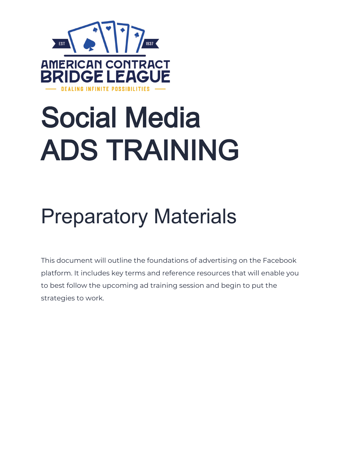

# Social Media ADS TRAINING

# Preparatory Materials

This document will outline the foundations of advertising on the Facebook platform. It includes key terms and reference resources that will enable you to best follow the upcoming ad training session and begin to put the strategies to work.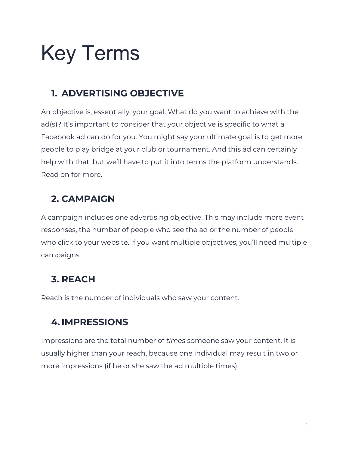# Key Terms

## **1. ADVERTISING OBJECTIVE**

An objective is, essentially, your goal. What do you want to achieve with the ad(s)? It's important to consider that your objective is specific to what a Facebook ad can do for you. You might say your ultimate goal is to get more people to play bridge at your club or tournament. And this ad can certainly help with that, but we'll have to put it into terms the platform understands. Read on for more.

#### **2. CAMPAIGN**

A campaign includes one advertising objective. This may include more event responses, the number of people who see the ad or the number of people who click to your website. If you want multiple objectives, you'll need multiple campaigns.

## **3. REACH**

Reach is the number of individuals who saw your content.

## **4. IMPRESSIONS**

Impressions are the total number of *times* someone saw your content. It is usually higher than your reach, because one individual may result in two or more impressions (if he or she saw the ad multiple times).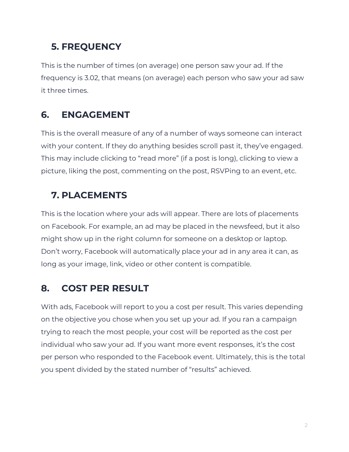#### **5. FREQUENCY**

This is the number of times (on average) one person saw your ad. If the frequency is 3.02, that means (on average) each person who saw your ad saw it three times.

#### **6. ENGAGEMENT**

This is the overall measure of any of a number of ways someone can interact with your content. If they do anything besides scroll past it, they've engaged. This may include clicking to "read more" (if a post is long), clicking to view a picture, liking the post, commenting on the post, RSVPing to an event, etc.

#### **7. PLACEMENTS**

This is the location where your ads will appear. There are lots of placements on Facebook. For example, an ad may be placed in the newsfeed, but it also might show up in the right column for someone on a desktop or laptop. Don't worry, Facebook will automatically place your ad in any area it can, as long as your image, link, video or other content is compatible.

#### **8. COST PER RESULT**

With ads, Facebook will report to you a cost per result. This varies depending on the objective you chose when you set up your ad. If you ran a campaign trying to reach the most people, your cost will be reported as the cost per individual who saw your ad. If you want more event responses, it's the cost per person who responded to the Facebook event. Ultimately, this is the total you spent divided by the stated number of "results" achieved.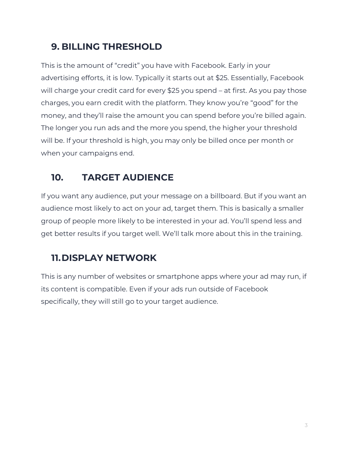#### **9. BILLING THRESHOLD**

This is the amount of "credit" you have with Facebook. Early in your advertising efforts, it is low. Typically it starts out at \$25. Essentially, Facebook will charge your credit card for every \$25 you spend – at first. As you pay those charges, you earn credit with the platform. They know you're "good" for the money, and they'll raise the amount you can spend before you're billed again. The longer you run ads and the more you spend, the higher your threshold will be. If your threshold is high, you may only be billed once per month or when your campaigns end.

# **10. TARGET AUDIENCE**

If you want any audience, put your message on a billboard. But if you want an audience most likely to act on your ad, target them. This is basically a smaller group of people more likely to be interested in your ad. You'll spend less and get better results if you target well. We'll talk more about this in the training.

## **11.DISPLAY NETWORK**

This is any number of websites or smartphone apps where your ad may run, if its content is compatible. Even if your ads run outside of Facebook specifically, they will still go to your target audience.